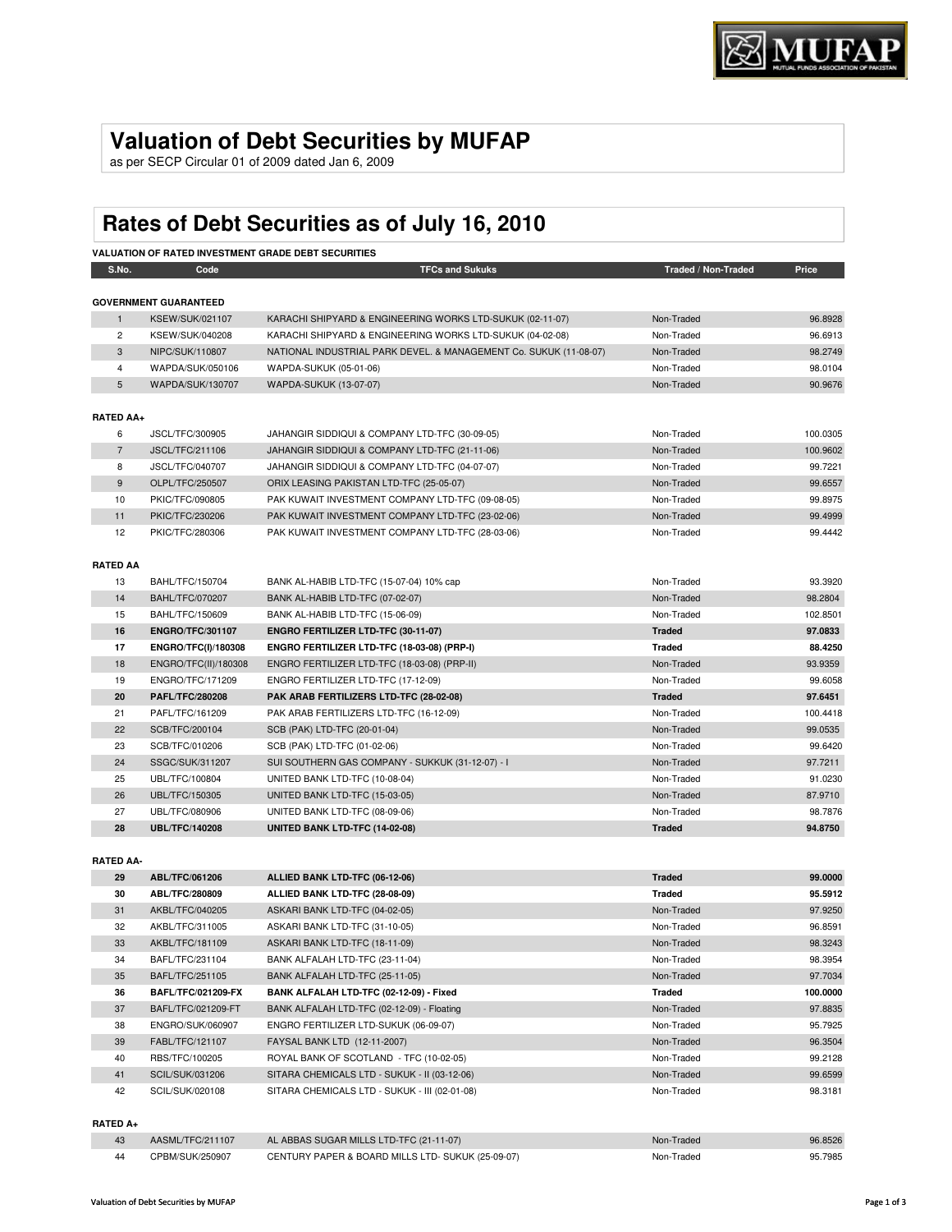## **Valuation of Debt Securities by MUFAP**

as per SECP Circular 01 of 2009 dated Jan 6, 2009

# **Rates of Debt Securities as of July 16, 2010**

| <b>VALUATION OF RATED INVESTMENT GRADE DEBT SECURITIES</b> |                              |                                                                   |                     |          |
|------------------------------------------------------------|------------------------------|-------------------------------------------------------------------|---------------------|----------|
| S.No.                                                      | Code                         | <b>TFCs and Sukuks</b>                                            | Traded / Non-Traded | Price    |
|                                                            |                              |                                                                   |                     |          |
|                                                            | <b>GOVERNMENT GUARANTEED</b> |                                                                   |                     |          |
| $\mathbf{1}$                                               | <b>KSEW/SUK/021107</b>       | KARACHI SHIPYARD & ENGINEERING WORKS LTD-SUKUK (02-11-07)         | Non-Traded          | 96.8928  |
| $\overline{2}$                                             | KSEW/SUK/040208              | KARACHI SHIPYARD & ENGINEERING WORKS LTD-SUKUK (04-02-08)         | Non-Traded          | 96.6913  |
| 3                                                          | NIPC/SUK/110807              | NATIONAL INDUSTRIAL PARK DEVEL. & MANAGEMENT Co. SUKUK (11-08-07) | Non-Traded          | 98.2749  |
| 4                                                          | WAPDA/SUK/050106             | WAPDA-SUKUK (05-01-06)                                            | Non-Traded          | 98.0104  |
| 5                                                          | WAPDA/SUK/130707             | WAPDA-SUKUK (13-07-07)                                            | Non-Traded          | 90.9676  |
|                                                            |                              |                                                                   |                     |          |
| <b>RATED AA+</b>                                           |                              |                                                                   |                     |          |
| 6                                                          | JSCL/TFC/300905              | JAHANGIR SIDDIQUI & COMPANY LTD-TFC (30-09-05)                    | Non-Traded          | 100.0305 |
| $\overline{7}$                                             | <b>JSCL/TFC/211106</b>       | JAHANGIR SIDDIQUI & COMPANY LTD-TFC (21-11-06)                    | Non-Traded          | 100.9602 |
| 8                                                          | JSCL/TFC/040707              | JAHANGIR SIDDIQUI & COMPANY LTD-TFC (04-07-07)                    | Non-Traded          | 99.7221  |
| 9                                                          | OLPL/TFC/250507              | ORIX LEASING PAKISTAN LTD-TFC (25-05-07)                          | Non-Traded          | 99.6557  |
| 10                                                         | PKIC/TFC/090805              | PAK KUWAIT INVESTMENT COMPANY LTD-TFC (09-08-05)                  | Non-Traded          | 99.8975  |
| 11                                                         | PKIC/TFC/230206              | PAK KUWAIT INVESTMENT COMPANY LTD-TFC (23-02-06)                  | Non-Traded          | 99.4999  |
| 12                                                         | PKIC/TFC/280306              | PAK KUWAIT INVESTMENT COMPANY LTD-TFC (28-03-06)                  | Non-Traded          | 99.4442  |
|                                                            |                              |                                                                   |                     |          |
| <b>RATED AA</b>                                            |                              |                                                                   |                     |          |
| 13                                                         | BAHL/TFC/150704              | BANK AL-HABIB LTD-TFC (15-07-04) 10% cap                          | Non-Traded          | 93.3920  |
| 14                                                         | <b>BAHL/TFC/070207</b>       | BANK AL-HABIB LTD-TFC (07-02-07)                                  | Non-Traded          | 98.2804  |
| 15                                                         | BAHL/TFC/150609              | BANK AL-HABIB LTD-TFC (15-06-09)                                  | Non-Traded          | 102.8501 |
| 16                                                         | <b>ENGRO/TFC/301107</b>      | ENGRO FERTILIZER LTD-TFC (30-11-07)                               | <b>Traded</b>       | 97.0833  |
| 17                                                         | ENGRO/TFC(I)/180308          | ENGRO FERTILIZER LTD-TFC (18-03-08) (PRP-I)                       | <b>Traded</b>       | 88.4250  |
| 18                                                         | ENGRO/TFC(II)/180308         | ENGRO FERTILIZER LTD-TFC (18-03-08) (PRP-II)                      | Non-Traded          | 93.9359  |
| 19                                                         | ENGRO/TFC/171209             | ENGRO FERTILIZER LTD-TFC (17-12-09)                               | Non-Traded          | 99.6058  |
| 20                                                         | PAFL/TFC/280208              | PAK ARAB FERTILIZERS LTD-TFC (28-02-08)                           | <b>Traded</b>       | 97.6451  |
| 21                                                         | PAFL/TFC/161209              | PAK ARAB FERTILIZERS LTD-TFC (16-12-09)                           | Non-Traded          | 100.4418 |
| 22                                                         | SCB/TFC/200104               | SCB (PAK) LTD-TFC (20-01-04)                                      | Non-Traded          | 99.0535  |
| 23                                                         | SCB/TFC/010206               | SCB (PAK) LTD-TFC (01-02-06)                                      | Non-Traded          | 99.6420  |
| 24                                                         | SSGC/SUK/311207              | SUI SOUTHERN GAS COMPANY - SUKKUK (31-12-07) - I                  | Non-Traded          | 97.7211  |
| 25                                                         | UBL/TFC/100804               | UNITED BANK LTD-TFC (10-08-04)                                    | Non-Traded          | 91.0230  |
| 26                                                         | UBL/TFC/150305               | UNITED BANK LTD-TFC (15-03-05)                                    | Non-Traded          | 87.9710  |
| 27                                                         | UBL/TFC/080906               | UNITED BANK LTD-TFC (08-09-06)                                    | Non-Traded          | 98.7876  |
| 28                                                         | <b>UBL/TFC/140208</b>        | <b>UNITED BANK LTD-TFC (14-02-08)</b>                             | <b>Traded</b>       | 94.8750  |
|                                                            |                              |                                                                   |                     |          |
| <b>RATED AA-</b>                                           |                              |                                                                   |                     |          |
| 29                                                         | ABL/TFC/061206               | ALLIED BANK LTD-TFC (06-12-06)                                    | <b>Traded</b>       | 99.0000  |

| 29 | ABL/TFC/061206            | ALLIED BANK LTD-TFC (06-12-06)               | <b>Traded</b> | 99.0000  |
|----|---------------------------|----------------------------------------------|---------------|----------|
| 30 | ABL/TFC/280809            | ALLIED BANK LTD-TFC (28-08-09)               | Traded        | 95.5912  |
| 31 | AKBL/TFC/040205           | ASKARI BANK LTD-TFC (04-02-05)               | Non-Traded    | 97.9250  |
| 32 | AKBL/TFC/311005           | ASKARI BANK LTD-TFC (31-10-05)               | Non-Traded    | 96.8591  |
| 33 | AKBL/TFC/181109           | ASKARI BANK LTD-TFC (18-11-09)               | Non-Traded    | 98.3243  |
| 34 | BAFL/TFC/231104           | BANK ALFALAH LTD-TFC (23-11-04)              | Non-Traded    | 98.3954  |
| 35 | BAFL/TFC/251105           | BANK ALFALAH LTD-TFC (25-11-05)              | Non-Traded    | 97.7034  |
| 36 | <b>BAFL/TFC/021209-FX</b> | BANK ALFALAH LTD-TFC (02-12-09) - Fixed      | Traded        | 100.0000 |
| 37 | BAFL/TFC/021209-FT        | BANK ALFALAH LTD-TFC (02-12-09) - Floating   | Non-Traded    | 97.8835  |
| 38 | ENGRO/SUK/060907          | ENGRO FERTILIZER LTD-SUKUK (06-09-07)        | Non-Traded    | 95.7925  |
| 39 |                           |                                              |               |          |
|    | FABL/TFC/121107           | FAYSAL BANK LTD (12-11-2007)                 | Non-Traded    | 96.3504  |
| 40 | RBS/TFC/100205            | ROYAL BANK OF SCOTLAND - TFC (10-02-05)      | Non-Traded    | 99.2128  |
| 41 | <b>SCIL/SUK/031206</b>    | SITARA CHEMICALS LTD - SUKUK - II (03-12-06) | Non-Traded    | 99.6599  |

#### **RATED A+**

| - 43 | AASML/TFC/211107 | AL ABBAS SUGAR MILLS LTD-TFC (21-11-07)           | Non-Traded | 96.8526 |
|------|------------------|---------------------------------------------------|------------|---------|
| -44  | CPBM/SUK/250907  | CENTURY PAPER & BOARD MILLS LTD- SUKUK (25-09-07) | Non-Traded | 95.7985 |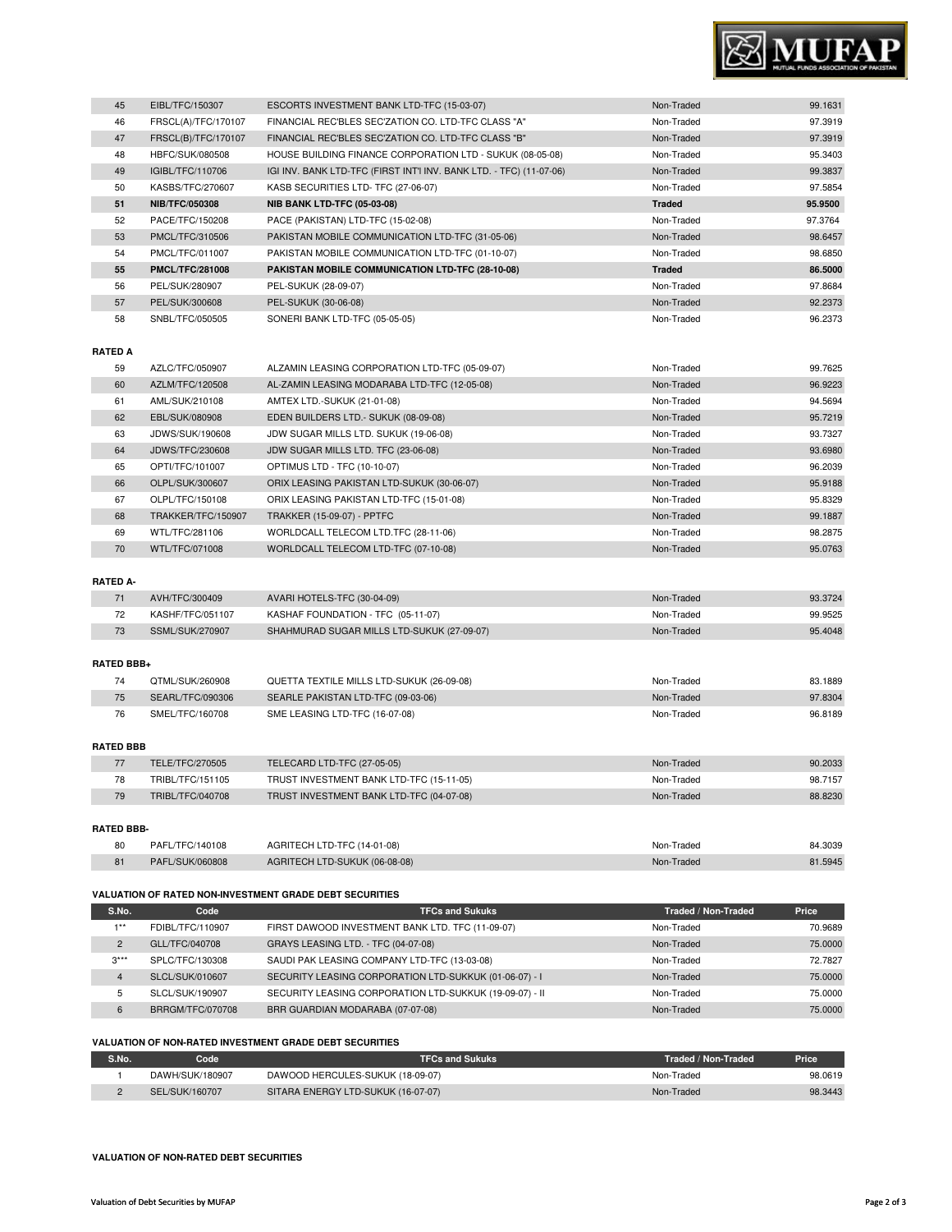

| 45 | EIBL/TFC/150307        | ESCORTS INVESTMENT BANK LTD-TFC (15-03-07)                          | Non-Traded    | 99.1631 |
|----|------------------------|---------------------------------------------------------------------|---------------|---------|
| 46 | FRSCL(A)/TFC/170107    | FINANCIAL REC'BLES SEC'ZATION CO. LTD-TFC CLASS "A"                 | Non-Traded    | 97.3919 |
| 47 | FRSCL(B)/TFC/170107    | FINANCIAL REC'BLES SEC'ZATION CO. LTD-TFC CLASS "B"                 | Non-Traded    | 97.3919 |
| 48 | HBFC/SUK/080508        | HOUSE BUILDING FINANCE CORPORATION LTD - SUKUK (08-05-08)           | Non-Traded    | 95.3403 |
| 49 | IGIBL/TFC/110706       | IGI INV. BANK LTD-TFC (FIRST INT'I INV. BANK LTD. - TFC) (11-07-06) | Non-Traded    | 99.3837 |
| 50 | KASBS/TFC/270607       | KASB SECURITIES LTD- TFC (27-06-07)                                 | Non-Traded    | 97.5854 |
| 51 | <b>NIB/TFC/050308</b>  | <b>NIB BANK LTD-TFC (05-03-08)</b>                                  | <b>Traded</b> | 95.9500 |
| 52 | PACE/TFC/150208        | PACE (PAKISTAN) LTD-TFC (15-02-08)                                  | Non-Traded    | 97.3764 |
| 53 | PMCL/TFC/310506        | PAKISTAN MOBILE COMMUNICATION LTD-TFC (31-05-06)                    | Non-Traded    | 98.6457 |
| 54 | PMCL/TFC/011007        | PAKISTAN MOBILE COMMUNICATION LTD-TFC (01-10-07)                    | Non-Traded    | 98.6850 |
| 55 | <b>PMCL/TFC/281008</b> | PAKISTAN MOBILE COMMUNICATION LTD-TFC (28-10-08)                    | <b>Traded</b> | 86.5000 |
| 56 | PEL/SUK/280907         | PEL-SUKUK (28-09-07)                                                | Non-Traded    | 97.8684 |
| 57 | PEL/SUK/300608         | PEL-SUKUK (30-06-08)                                                | Non-Traded    | 92.2373 |
| 58 | SNBL/TFC/050505        | SONERI BANK LTD-TFC (05-05-05)                                      | Non-Traded    | 96.2373 |

#### **RATED A**

| 59 | AZLC/TFC/050907    | ALZAMIN LEASING CORPORATION LTD-TFC (05-09-07) | Non-Traded | 99.7625 |
|----|--------------------|------------------------------------------------|------------|---------|
| 60 | AZLM/TFC/120508    | AL-ZAMIN LEASING MODARABA LTD-TFC (12-05-08)   | Non-Traded | 96.9223 |
| 61 | AML/SUK/210108     | AMTEX LTD.-SUKUK (21-01-08)                    | Non-Traded | 94.5694 |
| 62 | EBL/SUK/080908     | EDEN BUILDERS LTD. - SUKUK (08-09-08)          | Non-Traded | 95.7219 |
| 63 | JDWS/SUK/190608    | JDW SUGAR MILLS LTD. SUKUK (19-06-08)          | Non-Traded | 93.7327 |
| 64 | JDWS/TFC/230608    | JDW SUGAR MILLS LTD. TFC (23-06-08)            | Non-Traded | 93.6980 |
| 65 | OPTI/TFC/101007    | OPTIMUS LTD - TFC (10-10-07)                   | Non-Traded | 96.2039 |
| 66 | OLPL/SUK/300607    | ORIX LEASING PAKISTAN LTD-SUKUK (30-06-07)     | Non-Traded | 95.9188 |
| 67 | OLPL/TFC/150108    | ORIX LEASING PAKISTAN LTD-TFC (15-01-08)       | Non-Traded | 95.8329 |
| 68 | TRAKKER/TFC/150907 | <b>TRAKKER (15-09-07) - PPTFC</b>              | Non-Traded | 99.1887 |
| 69 | WTL/TFC/281106     | WORLDCALL TELECOM LTD.TFC (28-11-06)           | Non-Traded | 98.2875 |
| 70 | WTL/TFC/071008     | WORLDCALL TELECOM LTD-TFC (07-10-08)           | Non-Traded | 95.0763 |

### **RATED A-**

| AVH/TFC/300409   | AVARI HOTELS-TFC (30-04-09)                | Non-Traded | 93.3724 |
|------------------|--------------------------------------------|------------|---------|
| KASHF/TFC/051107 | KASHAF FOUNDATION - TFC (05-11-07)         | Non-Traded | 99.9525 |
| SSML/SUK/270907  | SHAHMURAD SUGAR MILLS LTD-SUKUK (27-09-07) | Non-Traded | 95.4048 |

#### **RATED BBB+**

|    | OTML/SUK/260908  | QUETTA TEXTILE MILLS LTD-SUKUK (26-09-08) | Non-Traded | 83.1889 |
|----|------------------|-------------------------------------------|------------|---------|
| 75 | SEARL/TFC/090306 | SEARLE PAKISTAN LTD-TFC (09-03-06)        | Non-Traded | 97.8304 |
| 76 | SMEL/TFC/160708  | SME LEASING LTD-TFC (16-07-08)            | Non-Traded | 96.8189 |

#### **RATED BBB**

|    | TELE/TFC/270505  | TELECARD LTD-TFC (27-05-05)              | Non-Traded | 90.2033 |
|----|------------------|------------------------------------------|------------|---------|
| 78 | TRIBL/TFC/151105 | TRUST INVESTMENT BANK LTD-TFC (15-11-05) | Non-Traded | 98.7157 |
| 79 | TRIBL/TFC/040708 | TRUST INVESTMENT BANK LTD-TFC (04-07-08) | Non-Traded | 88.8230 |
|    |                  |                                          |            |         |

#### **RATED BBB-**

| 80 | PAFL/TFC/140108 | AGRITECH LTD-TFC (14-01-08)   | Non-Traded | 84.3039 |
|----|-----------------|-------------------------------|------------|---------|
| 81 | PAFL/SUK/060808 | AGRITECH LTD-SUKUK (06-08-08) | Non-Traded | 81.5945 |

#### **VALUATION OF RATED NON-INVESTMENT GRADE DEBT SECURITIES**

| S.No.          | Code             | <b>TFCs and Sukuks</b>                                  | Traded / Non-Traded | Price   |
|----------------|------------------|---------------------------------------------------------|---------------------|---------|
| $4 * *$        | FDIBL/TFC/110907 | FIRST DAWOOD INVESTMENT BANK LTD. TFC (11-09-07)        | Non-Traded          | 70.9689 |
| $\overline{2}$ | GLL/TFC/040708   | GRAYS LEASING LTD. - TFC (04-07-08)                     | Non-Traded          | 75,0000 |
| $3***$         | SPLC/TFC/130308  | SAUDI PAK LEASING COMPANY LTD-TFC (13-03-08)            | Non-Traded          | 72.7827 |
| 4              | SLCL/SUK/010607  | SECURITY LEASING CORPORATION LTD-SUKKUK (01-06-07) - I  | Non-Traded          | 75,0000 |
| 5              | SLCL/SUK/190907  | SECURITY LEASING CORPORATION LTD-SUKKUK (19-09-07) - II | Non-Traded          | 75,0000 |
| 6              | BRRGM/TFC/070708 | BRR GUARDIAN MODARABA (07-07-08)                        | Non-Traded          | 75,0000 |

#### **VALUATION OF NON-RATED INVESTMENT GRADE DEBT SECURITIES**

| S.No. | Code            | <b>TFCs and Sukuks</b>             | Traded / Non-Traded | Price   |
|-------|-----------------|------------------------------------|---------------------|---------|
|       | DAWH/SUK/180907 | DAWOOD HERCULES-SUKUK (18-09-07)   | Non-Traded          | 98.0619 |
|       | SEL/SUK/160707  | SITARA ENERGY LTD-SUKUK (16-07-07) | Non-Traded          | 98.3443 |